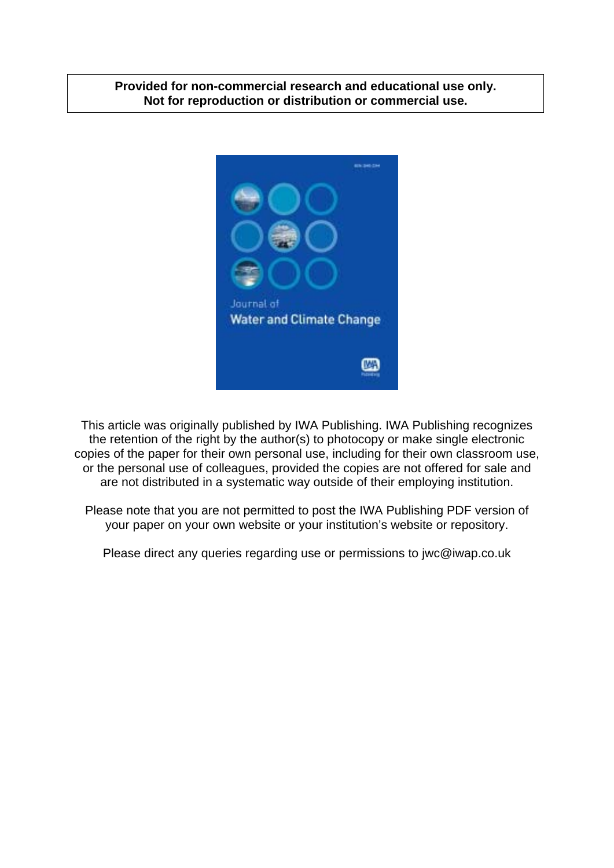## **Provided for non-commercial research and educational use only. Not for reproduction or distribution or commercial use.**



This article was originally published by IWA Publishing. IWA Publishing recognizes the retention of the right by the author(s) to photocopy or make single electronic copies of the paper for their own personal use, including for their own classroom use, or the personal use of colleagues, provided the copies are not offered for sale and are not distributed in a systematic way outside of their employing institution.

Please note that you are not permitted to post the IWA Publishing PDF version of your paper on your own website or your institution's website or repository.

Please direct any queries regarding use or permissions to jwc@iwap.co.uk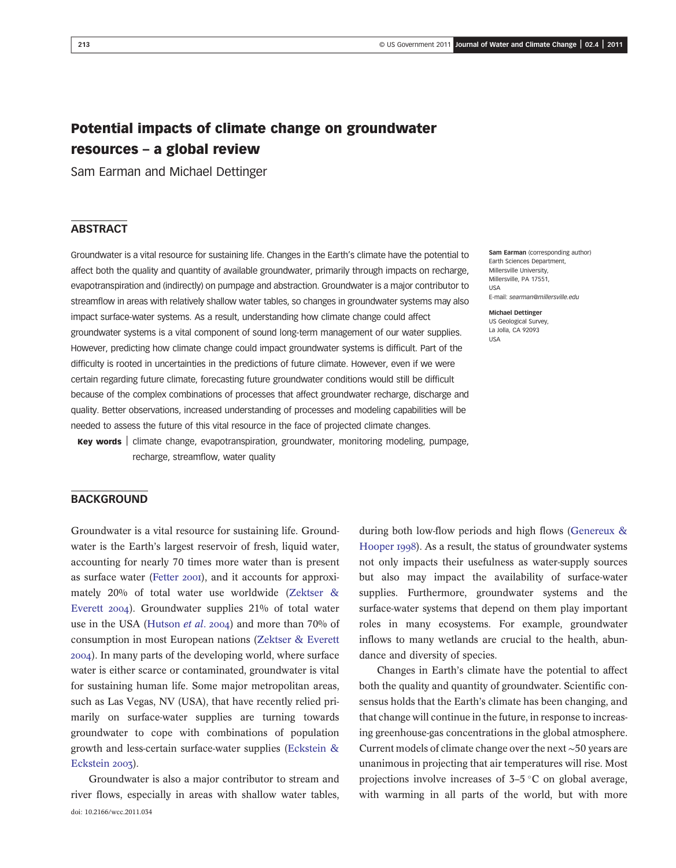# Potential impacts of climate change on groundwater resources – a global review

Sam Earman and Michael Dettinger

## **ABSTRACT**

Groundwater is a vital resource for sustaining life. Changes in the Earth's climate have the potential to affect both the quality and quantity of available groundwater, primarily through impacts on recharge, evapotranspiration and (indirectly) on pumpage and abstraction. Groundwater is a major contributor to streamflow in areas with relatively shallow water tables, so changes in groundwater systems may also impact surface-water systems. As a result, understanding how climate change could affect groundwater systems is a vital component of sound long-term management of our water supplies. However, predicting how climate change could impact groundwater systems is difficult. Part of the difficulty is rooted in uncertainties in the predictions of future climate. However, even if we were certain regarding future climate, forecasting future groundwater conditions would still be difficult because of the complex combinations of processes that affect groundwater recharge, discharge and quality. Better observations, increased understanding of processes and modeling capabilities will be needed to assess the future of this vital resource in the face of projected climate changes.

Key words | climate change, evapotranspiration, groundwater, monitoring modeling, pumpage, recharge, streamflow, water quality

#### Sam Earman (corresponding author) Earth Sciences Department, Millersville University, Millersville, PA 17551, USA E-mail: [searman@millersville.edu](mailto:searman@millersville.edu)

Michael Dettinger US Geological Survey, La Jolla, CA 92093 USA

## **BACKGROUND**

Groundwater is a vital resource for sustaining life. Groundwater is the Earth's largest reservoir of fresh, liquid water, accounting for nearly 70 times more water than is present as surface water (Fetter 2001), and it accounts for approximately 20% of total water use worldwide (Zektser & Everett 2004). Groundwater supplies 21% of total water use in the USA (Hutson *et al.* 2004) and more than  $70%$  of consumption in most European nations (Zektser & Everett ). In many parts of the developing world, where surface water is either scarce or contaminated, groundwater is vital for sustaining human life. Some major metropolitan areas, such as Las Vegas, NV (USA), that have recently relied primarily on surface-water supplies are turning towards groundwater to cope with combinations of population growth and less-certain surface-water supplies (Eckstein & Eckstein 2003).

Groundwater is also a major contributor to stream and river flows, especially in areas with shallow water tables, doi: 10.2166/wcc.2011.034

during both low-flow periods and high flows (Genereux & Hooper 1998). As a result, the status of groundwater systems not only impacts their usefulness as water-supply sources but also may impact the availability of surface-water supplies. Furthermore, groundwater systems and the surface-water systems that depend on them play important roles in many ecosystems. For example, groundwater inflows to many wetlands are crucial to the health, abundance and diversity of species.

Changes in Earth's climate have the potential to affect both the quality and quantity of groundwater. Scientific consensus holds that the Earth's climate has been changing, and that change will continue in the future, in response to increasing greenhouse-gas concentrations in the global atmosphere. Current models of climate change over the next ∼50 years are unanimous in projecting that air temperatures will rise. Most projections involve increases of  $3-5$  °C on global average, with warming in all parts of the world, but with more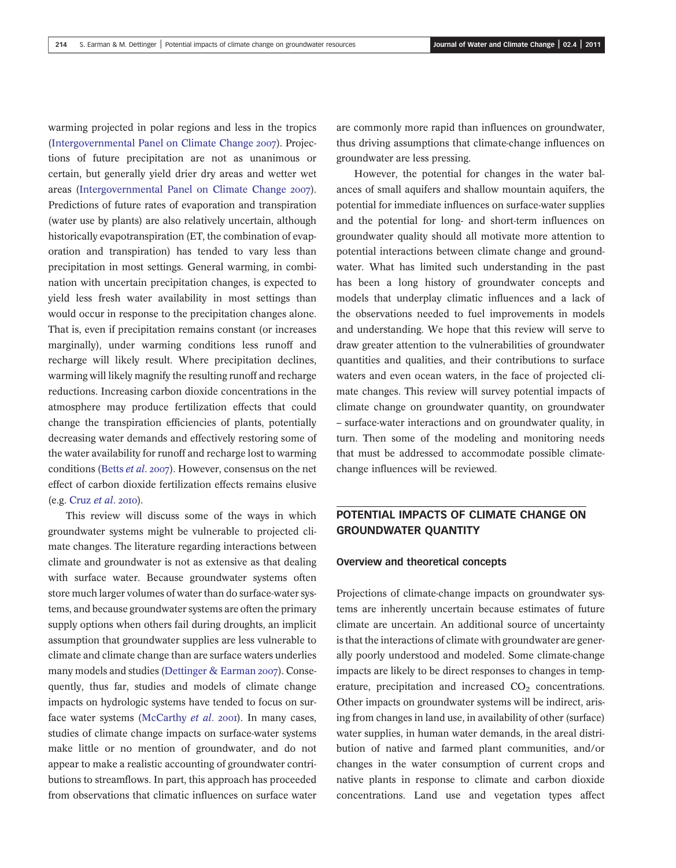warming projected in polar regions and less in the tropics (Intergovernmental Panel on Climate Change 2007). Projections of future precipitation are not as unanimous or certain, but generally yield drier dry areas and wetter wet areas (Intergovernmental Panel on Climate Change 2007). Predictions of future rates of evaporation and transpiration (water use by plants) are also relatively uncertain, although historically evapotranspiration (ET, the combination of evaporation and transpiration) has tended to vary less than precipitation in most settings. General warming, in combination with uncertain precipitation changes, is expected to yield less fresh water availability in most settings than would occur in response to the precipitation changes alone. That is, even if precipitation remains constant (or increases marginally), under warming conditions less runoff and recharge will likely result. Where precipitation declines, warming will likely magnify the resulting runoff and recharge reductions. Increasing carbon dioxide concentrations in the atmosphere may produce fertilization effects that could change the transpiration efficiencies of plants, potentially decreasing water demands and effectively restoring some of the water availability for runoff and recharge lost to warming conditions (Betts et al. 2007). However, consensus on the net effect of carbon dioxide fertilization effects remains elusive  $(e.g. Cruz et al. 2010).$ 

This review will discuss some of the ways in which groundwater systems might be vulnerable to projected climate changes. The literature regarding interactions between climate and groundwater is not as extensive as that dealing with surface water. Because groundwater systems often store much larger volumes of water than do surface-water systems, and because groundwater systems are often the primary supply options when others fail during droughts, an implicit assumption that groundwater supplies are less vulnerable to climate and climate change than are surface waters underlies many models and studies (Dettinger  $& Earman 2007$ ). Consequently, thus far, studies and models of climate change impacts on hydrologic systems have tended to focus on surface water systems (McCarthy et al. 2001). In many cases, studies of climate change impacts on surface-water systems make little or no mention of groundwater, and do not appear to make a realistic accounting of groundwater contributions to streamflows. In part, this approach has proceeded from observations that climatic influences on surface water are commonly more rapid than influences on groundwater, thus driving assumptions that climate-change influences on groundwater are less pressing.

However, the potential for changes in the water balances of small aquifers and shallow mountain aquifers, the potential for immediate influences on surface-water supplies and the potential for long- and short-term influences on groundwater quality should all motivate more attention to potential interactions between climate change and groundwater. What has limited such understanding in the past has been a long history of groundwater concepts and models that underplay climatic influences and a lack of the observations needed to fuel improvements in models and understanding. We hope that this review will serve to draw greater attention to the vulnerabilities of groundwater quantities and qualities, and their contributions to surface waters and even ocean waters, in the face of projected climate changes. This review will survey potential impacts of climate change on groundwater quantity, on groundwater – surface-water interactions and on groundwater quality, in turn. Then some of the modeling and monitoring needs that must be addressed to accommodate possible climatechange influences will be reviewed.

## POTENTIAL IMPACTS OF CLIMATE CHANGE ON GROUNDWATER QUANTITY

### Overview and theoretical concepts

Projections of climate-change impacts on groundwater systems are inherently uncertain because estimates of future climate are uncertain. An additional source of uncertainty is that the interactions of climate with groundwater are generally poorly understood and modeled. Some climate-change impacts are likely to be direct responses to changes in temperature, precipitation and increased  $CO<sub>2</sub>$  concentrations. Other impacts on groundwater systems will be indirect, arising from changes in land use, in availability of other (surface) water supplies, in human water demands, in the areal distribution of native and farmed plant communities, and/or changes in the water consumption of current crops and native plants in response to climate and carbon dioxide concentrations. Land use and vegetation types affect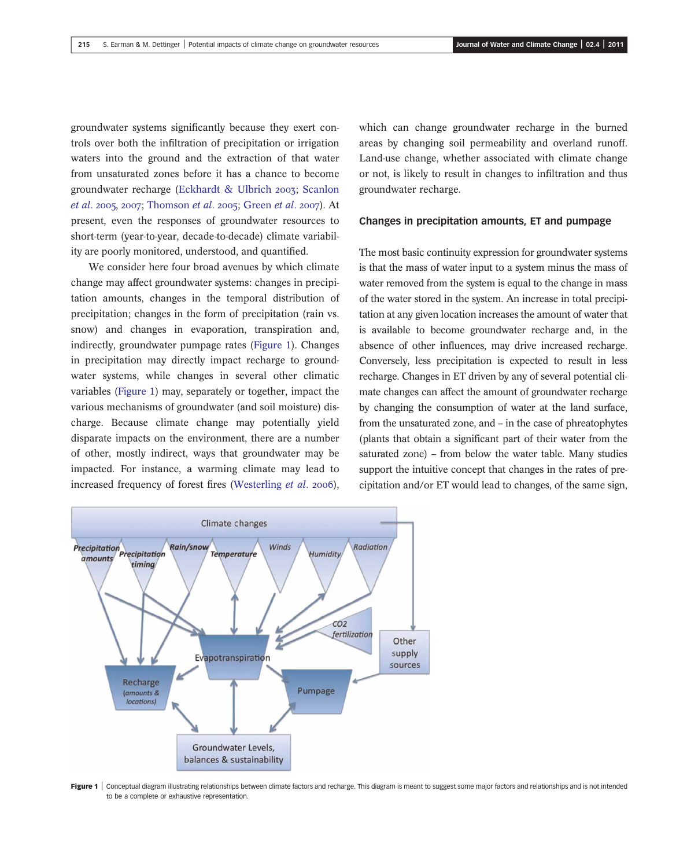groundwater systems significantly because they exert controls over both the infiltration of precipitation or irrigation waters into the ground and the extraction of that water from unsaturated zones before it has a chance to become groundwater recharge (Eckhardt & Ulbrich 2003; Scanlon *et al.* 2005, 2007; Thomson *et al.* 2005; Green *et al.* 2007). At present, even the responses of groundwater resources to short-term (year-to-year, decade-to-decade) climate variability are poorly monitored, understood, and quantified.

We consider here four broad avenues by which climate change may affect groundwater systems: changes in precipitation amounts, changes in the temporal distribution of precipitation; changes in the form of precipitation (rain vs. snow) and changes in evaporation, transpiration and, indirectly, groundwater pumpage rates (Figure 1). Changes in precipitation may directly impact recharge to groundwater systems, while changes in several other climatic variables (Figure 1) may, separately or together, impact the various mechanisms of groundwater (and soil moisture) discharge. Because climate change may potentially yield disparate impacts on the environment, there are a number of other, mostly indirect, ways that groundwater may be impacted. For instance, a warming climate may lead to increased frequency of forest fires (Westerling et al. 2006),

which can change groundwater recharge in the burned areas by changing soil permeability and overland runoff. Land-use change, whether associated with climate change or not, is likely to result in changes to infiltration and thus groundwater recharge.

### Changes in precipitation amounts, ET and pumpage

The most basic continuity expression for groundwater systems is that the mass of water input to a system minus the mass of water removed from the system is equal to the change in mass of the water stored in the system. An increase in total precipitation at any given location increases the amount of water that is available to become groundwater recharge and, in the absence of other influences, may drive increased recharge. Conversely, less precipitation is expected to result in less recharge. Changes in ET driven by any of several potential climate changes can affect the amount of groundwater recharge by changing the consumption of water at the land surface, from the unsaturated zone, and – in the case of phreatophytes (plants that obtain a significant part of their water from the saturated zone) – from below the water table. Many studies support the intuitive concept that changes in the rates of precipitation and/or ET would lead to changes, of the same sign,



Figure 1 | Conceptual diagram illustrating relationships between climate factors and recharge. This diagram is meant to suggest some major factors and relationships and is not intended to be a complete or exhaustive representation.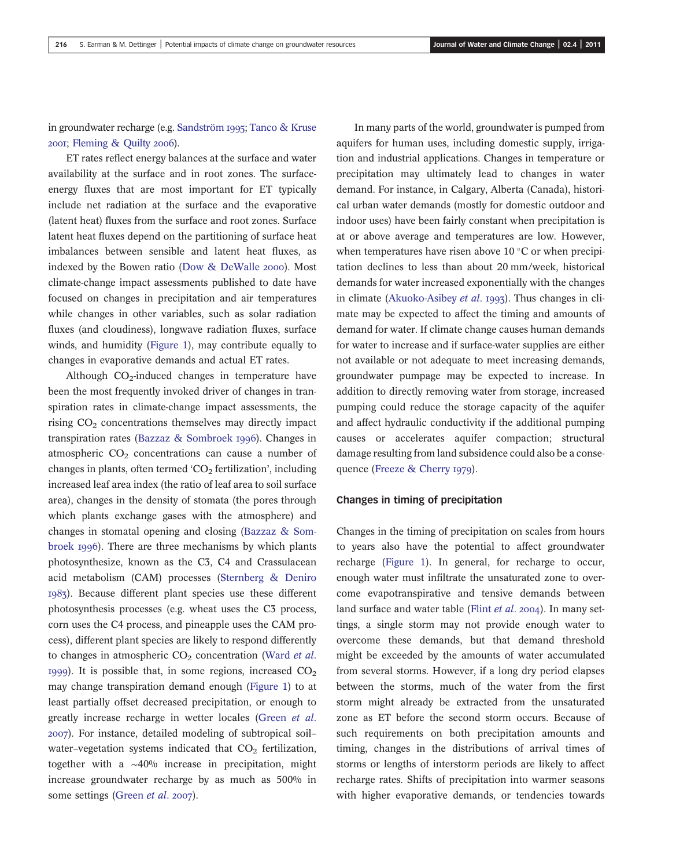in groundwater recharge (e.g. Sandström 1995; Tanco & Kruse 2001; Fleming & Quilty 2006).

ET rates reflect energy balances at the surface and water availability at the surface and in root zones. The surfaceenergy fluxes that are most important for ET typically include net radiation at the surface and the evaporative (latent heat) fluxes from the surface and root zones. Surface latent heat fluxes depend on the partitioning of surface heat imbalances between sensible and latent heat fluxes, as indexed by the Bowen ratio (Dow & DeWalle 2000). Most climate-change impact assessments published to date have focused on changes in precipitation and air temperatures while changes in other variables, such as solar radiation fluxes (and cloudiness), longwave radiation fluxes, surface winds, and humidity (Figure 1), may contribute equally to changes in evaporative demands and actual ET rates.

Although  $CO<sub>2</sub>$ -induced changes in temperature have been the most frequently invoked driver of changes in transpiration rates in climate-change impact assessments, the rising CO<sub>2</sub> concentrations themselves may directly impact transpiration rates (Bazzaz & Sombroek 1996). Changes in atmospheric  $CO<sub>2</sub>$  concentrations can cause a number of changes in plants, often termed  $CO<sub>2</sub>$  fertilization', including increased leaf area index (the ratio of leaf area to soil surface area), changes in the density of stomata (the pores through which plants exchange gases with the atmosphere) and changes in stomatal opening and closing (Bazzaz & Sombroek 1996). There are three mechanisms by which plants photosynthesize, known as the C3, C4 and Crassulacean acid metabolism (CAM) processes (Sternberg & Deniro ). Because different plant species use these different photosynthesis processes (e.g. wheat uses the C3 process, corn uses the C4 process, and pineapple uses the CAM process), different plant species are likely to respond differently to changes in atmospheric  $CO<sub>2</sub>$  concentration (Ward *et al.* 1999). It is possible that, in some regions, increased  $CO<sub>2</sub>$ may change transpiration demand enough (Figure 1) to at least partially offset decreased precipitation, or enough to greatly increase recharge in wetter locales (Green et al. ). For instance, detailed modeling of subtropical soil– water–vegetation systems indicated that  $CO<sub>2</sub>$  fertilization, together with a ∼40% increase in precipitation, might increase groundwater recharge by as much as 500% in some settings (Green et al. 2007).

In many parts of the world, groundwater is pumped from aquifers for human uses, including domestic supply, irrigation and industrial applications. Changes in temperature or precipitation may ultimately lead to changes in water demand. For instance, in Calgary, Alberta (Canada), historical urban water demands (mostly for domestic outdoor and indoor uses) have been fairly constant when precipitation is at or above average and temperatures are low. However, when temperatures have risen above  $10^{\circ}$ C or when precipitation declines to less than about 20 mm/week, historical demands for water increased exponentially with the changes in climate (Akuoko-Asibey *et al.* 1993). Thus changes in climate may be expected to affect the timing and amounts of demand for water. If climate change causes human demands for water to increase and if surface-water supplies are either not available or not adequate to meet increasing demands, groundwater pumpage may be expected to increase. In addition to directly removing water from storage, increased pumping could reduce the storage capacity of the aquifer and affect hydraulic conductivity if the additional pumping causes or accelerates aquifer compaction; structural damage resulting from land subsidence could also be a consequence (Freeze & Cherry 1979).

### Changes in timing of precipitation

Changes in the timing of precipitation on scales from hours to years also have the potential to affect groundwater recharge (Figure 1). In general, for recharge to occur, enough water must infiltrate the unsaturated zone to overcome evapotranspirative and tensive demands between land surface and water table (Flint  $et$   $al.$  2004). In many settings, a single storm may not provide enough water to overcome these demands, but that demand threshold might be exceeded by the amounts of water accumulated from several storms. However, if a long dry period elapses between the storms, much of the water from the first storm might already be extracted from the unsaturated zone as ET before the second storm occurs. Because of such requirements on both precipitation amounts and timing, changes in the distributions of arrival times of storms or lengths of interstorm periods are likely to affect recharge rates. Shifts of precipitation into warmer seasons with higher evaporative demands, or tendencies towards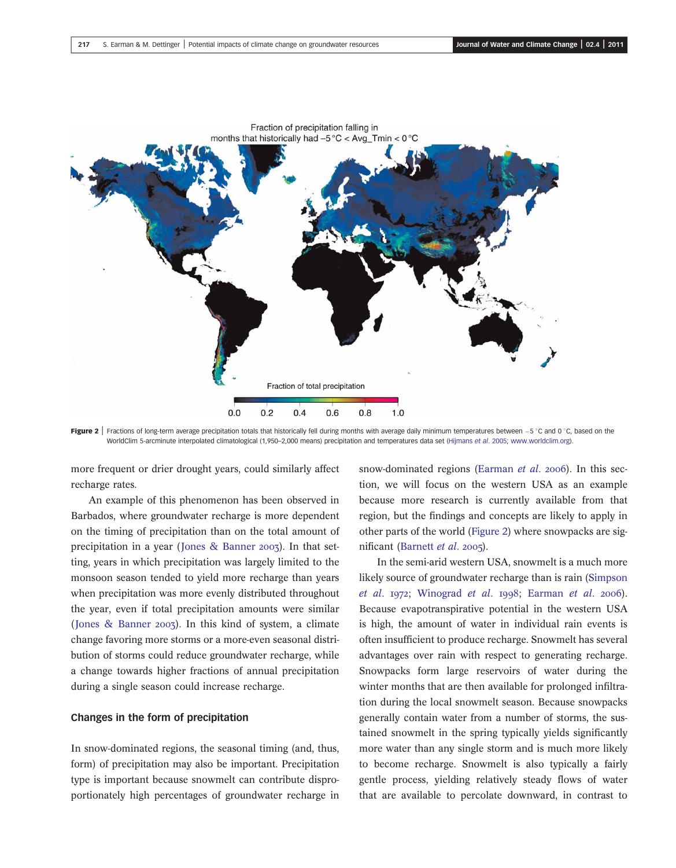

Figure 2 | Fractions of long-term average precipitation totals that historically fell during months with average daily minimum temperatures between  $-5^{\circ}$ C and 0  $^{\circ}$ C, based on the WorldClim 5-arcminute interpolated climatological (1,950-2,000 means) precipitation and temperatures data set (Hijmans et al. 2005; [www.worldclim.org\)](http://www.worldclim.org).

more frequent or drier drought years, could similarly affect recharge rates.

An example of this phenomenon has been observed in Barbados, where groundwater recharge is more dependent on the timing of precipitation than on the total amount of precipitation in a year (Jones & Banner 2003). In that setting, years in which precipitation was largely limited to the monsoon season tended to yield more recharge than years when precipitation was more evenly distributed throughout the year, even if total precipitation amounts were similar (Jones & Banner 2003). In this kind of system, a climate change favoring more storms or a more-even seasonal distribution of storms could reduce groundwater recharge, while a change towards higher fractions of annual precipitation during a single season could increase recharge.

### Changes in the form of precipitation

In snow-dominated regions, the seasonal timing (and, thus, form) of precipitation may also be important. Precipitation type is important because snowmelt can contribute disproportionately high percentages of groundwater recharge in snow-dominated regions (Earman  $et$   $al.$  2006). In this section, we will focus on the western USA as an example because more research is currently available from that region, but the findings and concepts are likely to apply in other parts of the world (Figure 2) where snowpacks are significant (Barnett et al. 2005).

In the semi-arid western USA, snowmelt is a much more likely source of groundwater recharge than is rain (Simpson  $et$  al. 1972; Winograd  $et$  al. 1998; Earman  $et$  al. 2006). Because evapotranspirative potential in the western USA is high, the amount of water in individual rain events is often insufficient to produce recharge. Snowmelt has several advantages over rain with respect to generating recharge. Snowpacks form large reservoirs of water during the winter months that are then available for prolonged infiltration during the local snowmelt season. Because snowpacks generally contain water from a number of storms, the sustained snowmelt in the spring typically yields significantly more water than any single storm and is much more likely to become recharge. Snowmelt is also typically a fairly gentle process, yielding relatively steady flows of water that are available to percolate downward, in contrast to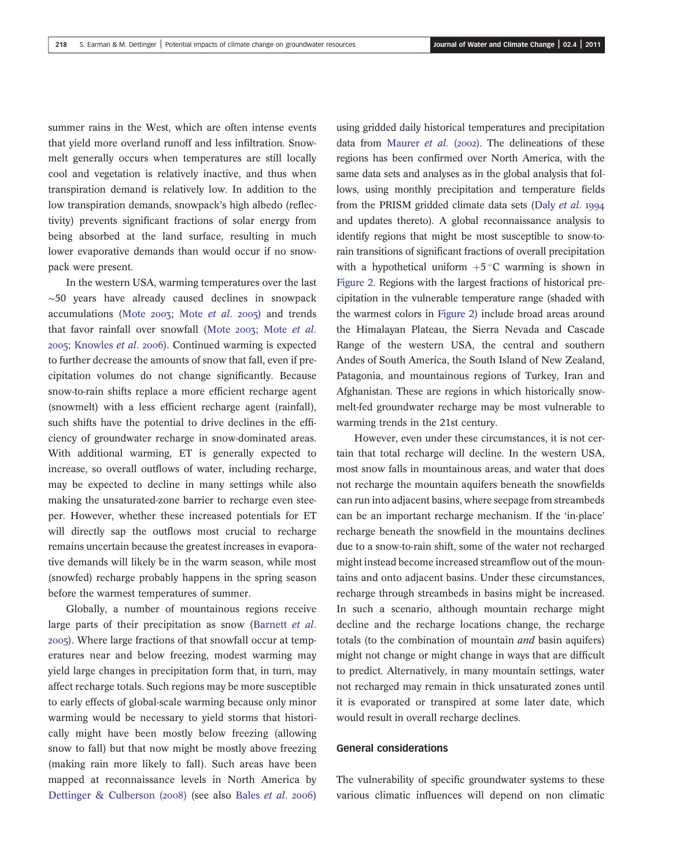summer rains in the West, which are often intense events that yield more overland runoff and less infiltration. Snowmelt generally occurs when temperatures are still locally cool and vegetation is relatively inactive, and thus when transpiration demand is relatively low. In addition to the low transpiration demands, snowpack's high albedo (reflectivity) prevents significant fractions of solar energy from being absorbed at the land surface, resulting in much lower evaporative demands than would occur if no snowpack were present.

In the western USA, warming temperatures over the last ∼50 years have already caused declines in snowpack accumulations (Mote  $2003$ ; Mote *et al.*  $2005$ ) and trends that favor rainfall over snowfall (Mote  $2003$ ; Mote *et al.* 2005; Knowles et al. 2006). Continued warming is expected to further decrease the amounts of snow that fall, even if precipitation volumes do not change significantly. Because snow-to-rain shifts replace a more efficient recharge agent (snowmelt) with a less efficient recharge agent (rainfall), such shifts have the potential to drive declines in the efficiency of groundwater recharge in snow-dominated areas. With additional warming, ET is generally expected to increase, so overall outflows of water, including recharge, may be expected to decline in many settings while also making the unsaturated-zone barrier to recharge even steeper. However, whether these increased potentials for ET will directly sap the outflows most crucial to recharge remains uncertain because the greatest increases in evaporative demands will likely be in the warm season, while most (snowfed) recharge probably happens in the spring season before the warmest temperatures of summer.

Globally, a number of mountainous regions receive large parts of their precipitation as snow (Barnett et al. ). Where large fractions of that snowfall occur at temperatures near and below freezing, modest warming may yield large changes in precipitation form that, in turn, may affect recharge totals. Such regions may be more susceptible to early effects of global-scale warming because only minor warming would be necessary to yield storms that historically might have been mostly below freezing (allowing snow to fall) but that now might be mostly above freezing (making rain more likely to fall). Such areas have been mapped at reconnaissance levels in North America by Dettinger & Culberson (2008) (see also Bales et al. 2006) using gridded daily historical temperatures and precipitation data from Maurer et al. (2002). The delineations of these regions has been confirmed over North America, with the same data sets and analyses as in the global analysis that follows, using monthly precipitation and temperature fields from the PRISM gridded climate data sets (Daly et al. 1994 and updates thereto). A global reconnaissance analysis to identify regions that might be most susceptible to snow-torain transitions of significant fractions of overall precipitation with a hypothetical uniform  $+5^{\circ}$ C warming is shown in Figure 2. Regions with the largest fractions of historical precipitation in the vulnerable temperature range (shaded with the warmest colors in Figure 2) include broad areas around the Himalayan Plateau, the Sierra Nevada and Cascade Range of the western USA, the central and southern Andes of South America, the South Island of New Zealand, Patagonia, and mountainous regions of Turkey, Iran and Afghanistan. These are regions in which historically snowmelt-fed groundwater recharge may be most vulnerable to warming trends in the 21st century.

However, even under these circumstances, it is not certain that total recharge will decline. In the western USA, most snow falls in mountainous areas, and water that does not recharge the mountain aquifers beneath the snowfields can run into adjacent basins, where seepage from streambeds can be an important recharge mechanism. If the 'in-place' recharge beneath the snowfield in the mountains declines due to a snow-to-rain shift, some of the water not recharged might instead become increased streamflow out of the mountains and onto adjacent basins. Under these circumstances, recharge through streambeds in basins might be increased. In such a scenario, although mountain recharge might decline and the recharge locations change, the recharge totals (to the combination of mountain and basin aquifers) might not change or might change in ways that are difficult to predict. Alternatively, in many mountain settings, water not recharged may remain in thick unsaturated zones until it is evaporated or transpired at some later date, which would result in overall recharge declines.

#### General considerations

The vulnerability of specific groundwater systems to these various climatic influences will depend on non climatic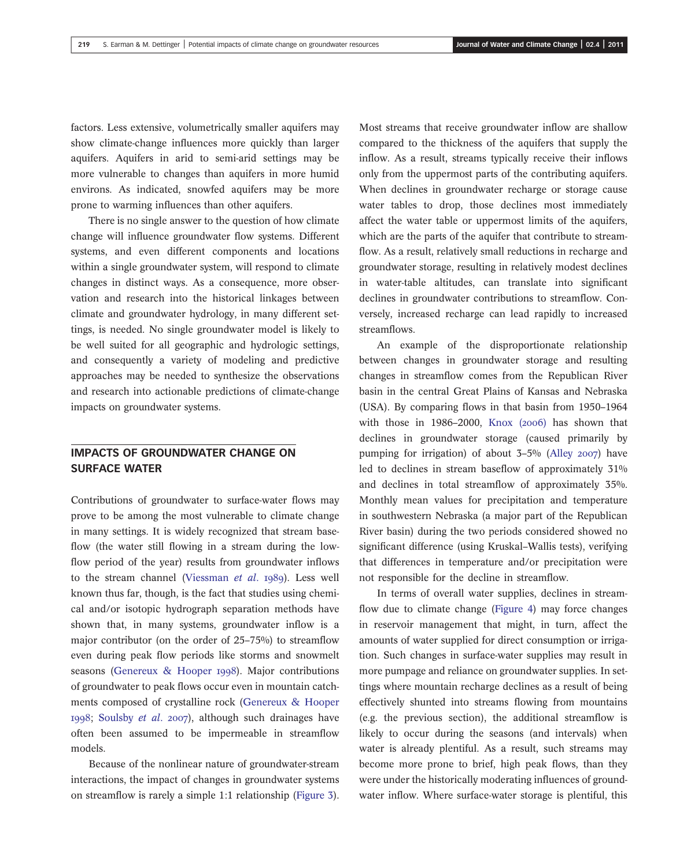factors. Less extensive, volumetrically smaller aquifers may show climate-change influences more quickly than larger aquifers. Aquifers in arid to semi-arid settings may be more vulnerable to changes than aquifers in more humid environs. As indicated, snowfed aquifers may be more prone to warming influences than other aquifers.

There is no single answer to the question of how climate change will influence groundwater flow systems. Different systems, and even different components and locations within a single groundwater system, will respond to climate changes in distinct ways. As a consequence, more observation and research into the historical linkages between climate and groundwater hydrology, in many different settings, is needed. No single groundwater model is likely to be well suited for all geographic and hydrologic settings, and consequently a variety of modeling and predictive approaches may be needed to synthesize the observations and research into actionable predictions of climate-change impacts on groundwater systems.

## IMPACTS OF GROUNDWATER CHANGE ON SURFACE WATER

Contributions of groundwater to surface-water flows may prove to be among the most vulnerable to climate change in many settings. It is widely recognized that stream baseflow (the water still flowing in a stream during the lowflow period of the year) results from groundwater inflows to the stream channel (Viessman et al. 1989). Less well known thus far, though, is the fact that studies using chemical and/or isotopic hydrograph separation methods have shown that, in many systems, groundwater inflow is a major contributor (on the order of 25–75%) to streamflow even during peak flow periods like storms and snowmelt seasons (Genereux & Hooper 1998). Major contributions of groundwater to peak flows occur even in mountain catchments composed of crystalline rock (Genereux & Hooper 1998; Soulsby et al. 2007), although such drainages have often been assumed to be impermeable in streamflow models.

Because of the nonlinear nature of groundwater-stream interactions, the impact of changes in groundwater systems on streamflow is rarely a simple 1:1 relationship (Figure 3).

Most streams that receive groundwater inflow are shallow compared to the thickness of the aquifers that supply the inflow. As a result, streams typically receive their inflows only from the uppermost parts of the contributing aquifers. When declines in groundwater recharge or storage cause water tables to drop, those declines most immediately affect the water table or uppermost limits of the aquifers, which are the parts of the aquifer that contribute to streamflow. As a result, relatively small reductions in recharge and groundwater storage, resulting in relatively modest declines in water-table altitudes, can translate into significant declines in groundwater contributions to streamflow. Conversely, increased recharge can lead rapidly to increased streamflows.

An example of the disproportionate relationship between changes in groundwater storage and resulting changes in streamflow comes from the Republican River basin in the central Great Plains of Kansas and Nebraska (USA). By comparing flows in that basin from 1950–1964 with those in  $1986-2000$ , Knox  $(2006)$  has shown that declines in groundwater storage (caused primarily by pumping for irrigation) of about  $3-5\%$  (Alley 2007) have led to declines in stream baseflow of approximately 31% and declines in total streamflow of approximately 35%. Monthly mean values for precipitation and temperature in southwestern Nebraska (a major part of the Republican River basin) during the two periods considered showed no significant difference (using Kruskal–Wallis tests), verifying that differences in temperature and/or precipitation were not responsible for the decline in streamflow.

In terms of overall water supplies, declines in streamflow due to climate change (Figure 4) may force changes in reservoir management that might, in turn, affect the amounts of water supplied for direct consumption or irrigation. Such changes in surface-water supplies may result in more pumpage and reliance on groundwater supplies. In settings where mountain recharge declines as a result of being effectively shunted into streams flowing from mountains (e.g. the previous section), the additional streamflow is likely to occur during the seasons (and intervals) when water is already plentiful. As a result, such streams may become more prone to brief, high peak flows, than they were under the historically moderating influences of groundwater inflow. Where surface-water storage is plentiful, this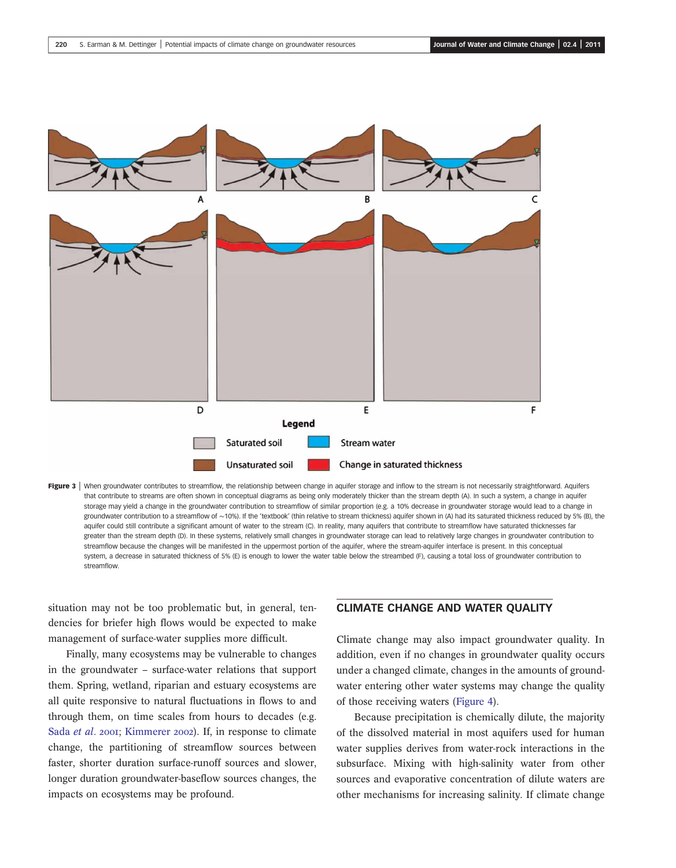

Figure 3 | When groundwater contributes to streamflow, the relationship between change in aquifer storage and inflow to the stream is not necessarily straightforward. Aquifers that contribute to streams are often shown in conceptual diagrams as being only moderately thicker than the stream depth (A). In such a system, a change in aquifer storage may yield a change in the groundwater contribution to streamflow of similar proportion (e.g. a 10% decrease in groundwater storage would lead to a change in groundwater contribution to a streamflow of ~10%). If the 'textbook' (thin relative to stream thickness) aquifer shown in (A) had its saturated thickness reduced by 5% (B), the aquifer could still contribute a significant amount of water to the stream (C). In reality, many aquifers that contribute to streamflow have saturated thicknesses far greater than the stream depth (D). In these systems, relatively small changes in groundwater storage can lead to relatively large changes in groundwater contribution to streamflow because the changes will be manifested in the uppermost portion of the aquifer, where the stream-aquifer interface is present. In this conceptual system, a decrease in saturated thickness of 5% (E) is enough to lower the water table below the streambed (F), causing a total loss of groundwater contribution to streamflow.

situation may not be too problematic but, in general, tendencies for briefer high flows would be expected to make management of surface-water supplies more difficult.

Finally, many ecosystems may be vulnerable to changes in the groundwater – surface-water relations that support them. Spring, wetland, riparian and estuary ecosystems are all quite responsive to natural fluctuations in flows to and through them, on time scales from hours to decades (e.g. Sada et al. 2001; Kimmerer 2002). If, in response to climate change, the partitioning of streamflow sources between faster, shorter duration surface-runoff sources and slower, longer duration groundwater-baseflow sources changes, the impacts on ecosystems may be profound.

## CLIMATE CHANGE AND WATER QUALITY

Climate change may also impact groundwater quality. In addition, even if no changes in groundwater quality occurs under a changed climate, changes in the amounts of groundwater entering other water systems may change the quality of those receiving waters (Figure 4).

Because precipitation is chemically dilute, the majority of the dissolved material in most aquifers used for human water supplies derives from water-rock interactions in the subsurface. Mixing with high-salinity water from other sources and evaporative concentration of dilute waters are other mechanisms for increasing salinity. If climate change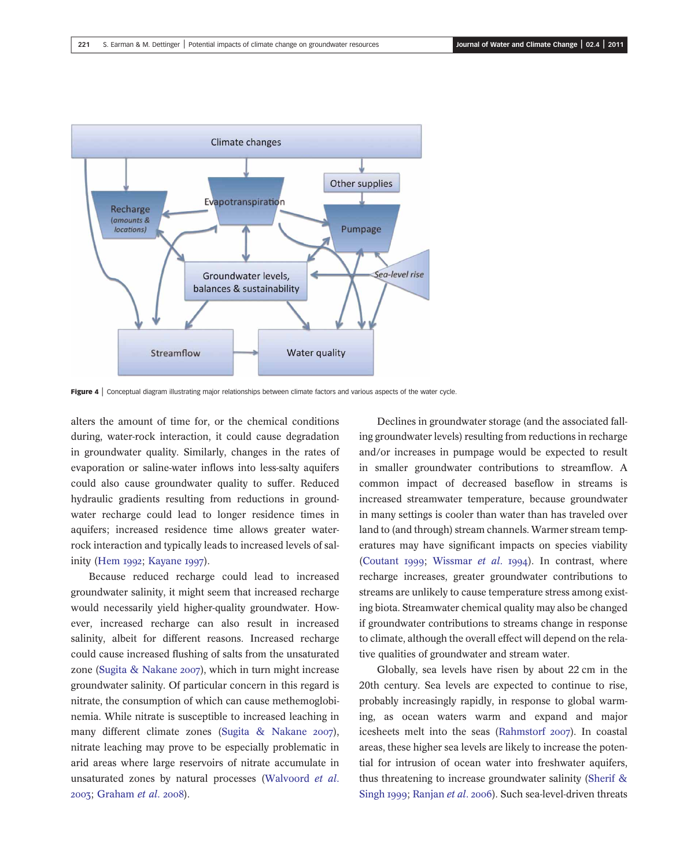

Figure 4 | Conceptual diagram illustrating major relationships between climate factors and various aspects of the water cycle.

alters the amount of time for, or the chemical conditions during, water-rock interaction, it could cause degradation in groundwater quality. Similarly, changes in the rates of evaporation or saline-water inflows into less-salty aquifers could also cause groundwater quality to suffer. Reduced hydraulic gradients resulting from reductions in groundwater recharge could lead to longer residence times in aquifers; increased residence time allows greater waterrock interaction and typically leads to increased levels of salinity (Hem 1992; Kayane 1997).

Because reduced recharge could lead to increased groundwater salinity, it might seem that increased recharge would necessarily yield higher-quality groundwater. However, increased recharge can also result in increased salinity, albeit for different reasons. Increased recharge could cause increased flushing of salts from the unsaturated zone (Sugita & Nakane 2007), which in turn might increase groundwater salinity. Of particular concern in this regard is nitrate, the consumption of which can cause methemoglobinemia. While nitrate is susceptible to increased leaching in many different climate zones (Sugita & Nakane 2007), nitrate leaching may prove to be especially problematic in arid areas where large reservoirs of nitrate accumulate in unsaturated zones by natural processes (Walvoord et al. 2003; Graham et al. 2008).

Declines in groundwater storage (and the associated falling groundwater levels) resulting from reductions in recharge and/or increases in pumpage would be expected to result in smaller groundwater contributions to streamflow. A common impact of decreased baseflow in streams is increased streamwater temperature, because groundwater in many settings is cooler than water than has traveled over land to (and through) stream channels. Warmer stream temperatures may have significant impacts on species viability (Coutant 1999; Wissmar et al. 1994). In contrast, where recharge increases, greater groundwater contributions to streams are unlikely to cause temperature stress among existing biota. Streamwater chemical quality may also be changed if groundwater contributions to streams change in response to climate, although the overall effect will depend on the relative qualities of groundwater and stream water.

Globally, sea levels have risen by about 22 cm in the 20th century. Sea levels are expected to continue to rise, probably increasingly rapidly, in response to global warming, as ocean waters warm and expand and major icesheets melt into the seas (Rahmstorf 2007). In coastal areas, these higher sea levels are likely to increase the potential for intrusion of ocean water into freshwater aquifers, thus threatening to increase groundwater salinity (Sherif & Singh 1999; Ranjan et al. 2006). Such sea-level-driven threats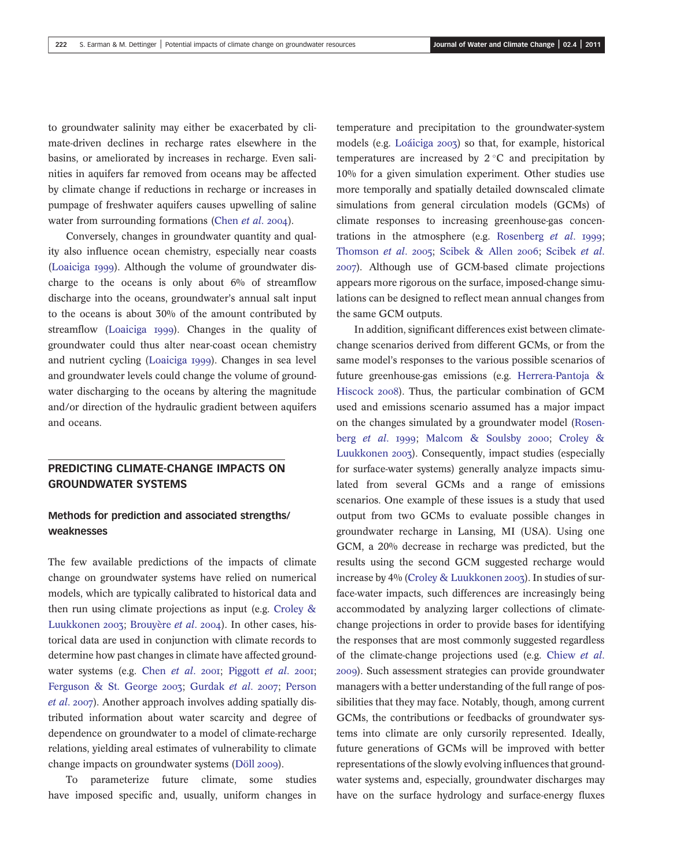to groundwater salinity may either be exacerbated by climate-driven declines in recharge rates elsewhere in the basins, or ameliorated by increases in recharge. Even salinities in aquifers far removed from oceans may be affected by climate change if reductions in recharge or increases in pumpage of freshwater aquifers causes upwelling of saline water from surrounding formations (Chen *et al.* 2004).

Conversely, changes in groundwater quantity and quality also influence ocean chemistry, especially near coasts (Loaiciga 1999). Although the volume of groundwater discharge to the oceans is only about  $6\%$  of streamflow discharge into the oceans, groundwater's annual salt input to the oceans is about 30% of the amount contributed by streamflow (Loaiciga 1999). Changes in the quality of groundwater could thus alter near-coast ocean chemistry and nutrient cycling (Loaiciga 1999). Changes in sea level and groundwater levels could change the volume of groundwater discharging to the oceans by altering the magnitude and/or direction of the hydraulic gradient between aquifers and oceans.

## PREDICTING CLIMATE-CHANGE IMPACTS ON GROUNDWATER SYSTEMS

## Methods for prediction and associated strengths/ weaknesses

The few available predictions of the impacts of climate change on groundwater systems have relied on numerical models, which are typically calibrated to historical data and then run using climate projections as input (e.g. Croley & Luukkonen 2003; Brouvère et al. 2004). In other cases, historical data are used in conjunction with climate records to determine how past changes in climate have affected groundwater systems (e.g. Chen et al. 2001; Piggott et al. 2001; Ferguson & St. George 2003; Gurdak et al. 2007; Person et al. 2007). Another approach involves adding spatially distributed information about water scarcity and degree of dependence on groundwater to a model of climate-recharge relations, yielding areal estimates of vulnerability to climate change impacts on groundwater systems (Döll 2009).

To parameterize future climate, some studies have imposed specific and, usually, uniform changes in temperature and precipitation to the groundwater-system models (e.g. Loáiciga 2003) so that, for example, historical temperatures are increased by  $2^{\circ}$ C and precipitation by 10% for a given simulation experiment. Other studies use more temporally and spatially detailed downscaled climate simulations from general circulation models (GCMs) of climate responses to increasing greenhouse-gas concentrations in the atmosphere (e.g. Rosenberg  $et$   $al.$  1999; Thomson et al. 2005; Scibek & Allen 2006; Scibek et al. ). Although use of GCM-based climate projections appears more rigorous on the surface, imposed-change simulations can be designed to reflect mean annual changes from the same GCM outputs.

In addition, significant differences exist between climatechange scenarios derived from different GCMs, or from the same model's responses to the various possible scenarios of future greenhouse-gas emissions (e.g. Herrera-Pantoja & Hiscock 2008). Thus, the particular combination of GCM used and emissions scenario assumed has a major impact on the changes simulated by a groundwater model (Rosenberg et al. 1999; Malcom & Soulsby 2000; Croley & Luukkonen 2003). Consequently, impact studies (especially for surface-water systems) generally analyze impacts simulated from several GCMs and a range of emissions scenarios. One example of these issues is a study that used output from two GCMs to evaluate possible changes in groundwater recharge in Lansing, MI (USA). Using one GCM, a 20% decrease in recharge was predicted, but the results using the second GCM suggested recharge would increase by 4% (Croley & Luukkonen 2003). In studies of surface-water impacts, such differences are increasingly being accommodated by analyzing larger collections of climatechange projections in order to provide bases for identifying the responses that are most commonly suggested regardless of the climate-change projections used (e.g. Chiew et al. ). Such assessment strategies can provide groundwater managers with a better understanding of the full range of possibilities that they may face. Notably, though, among current GCMs, the contributions or feedbacks of groundwater systems into climate are only cursorily represented. Ideally, future generations of GCMs will be improved with better representations of the slowly evolving influences that groundwater systems and, especially, groundwater discharges may have on the surface hydrology and surface-energy fluxes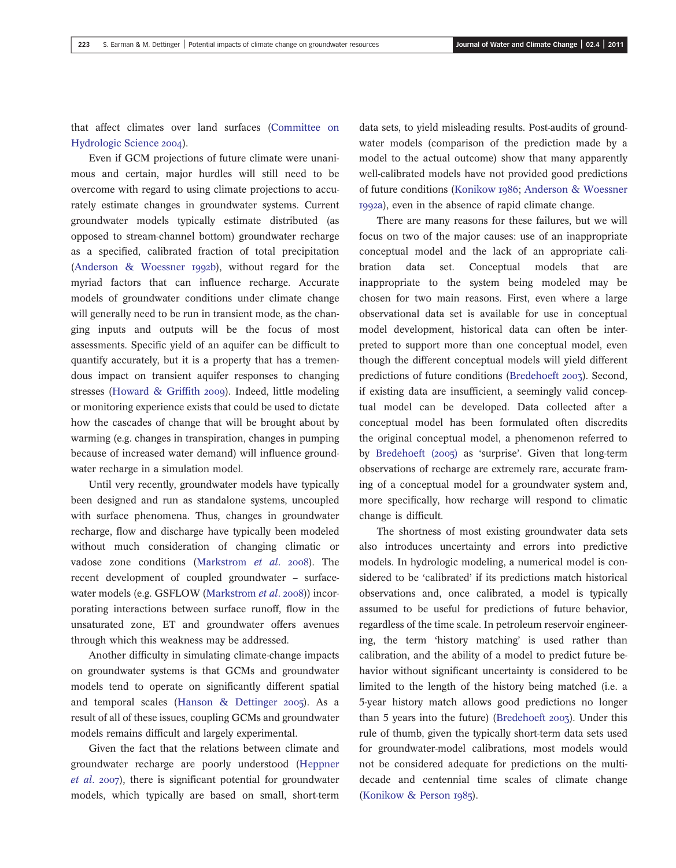that affect climates over land surfaces (Committee on Hydrologic Science 2004).

Even if GCM projections of future climate were unanimous and certain, major hurdles will still need to be overcome with regard to using climate projections to accurately estimate changes in groundwater systems. Current groundwater models typically estimate distributed (as opposed to stream-channel bottom) groundwater recharge as a specified, calibrated fraction of total precipitation (Anderson & Woessner 1992b), without regard for the myriad factors that can influence recharge. Accurate models of groundwater conditions under climate change will generally need to be run in transient mode, as the changing inputs and outputs will be the focus of most assessments. Specific yield of an aquifer can be difficult to quantify accurately, but it is a property that has a tremendous impact on transient aquifer responses to changing stresses (Howard & Griffith 2009). Indeed, little modeling or monitoring experience exists that could be used to dictate how the cascades of change that will be brought about by warming (e.g. changes in transpiration, changes in pumping because of increased water demand) will influence groundwater recharge in a simulation model.

Until very recently, groundwater models have typically been designed and run as standalone systems, uncoupled with surface phenomena. Thus, changes in groundwater recharge, flow and discharge have typically been modeled without much consideration of changing climatic or vadose zone conditions (Markstrom et al. 2008). The recent development of coupled groundwater – surfacewater models (e.g. GSFLOW (Markstrom et al. 2008)) incorporating interactions between surface runoff, flow in the unsaturated zone, ET and groundwater offers avenues through which this weakness may be addressed.

Another difficulty in simulating climate-change impacts on groundwater systems is that GCMs and groundwater models tend to operate on significantly different spatial and temporal scales (Hanson  $\&$  Dettinger 2005). As a result of all of these issues, coupling GCMs and groundwater models remains difficult and largely experimental.

Given the fact that the relations between climate and groundwater recharge are poorly understood (Heppner  $et$  al. 2007), there is significant potential for groundwater models, which typically are based on small, short-term data sets, to yield misleading results. Post-audits of groundwater models (comparison of the prediction made by a model to the actual outcome) show that many apparently well-calibrated models have not provided good predictions of future conditions (Konikow 1986; Anderson & Woessner a), even in the absence of rapid climate change.

There are many reasons for these failures, but we will focus on two of the major causes: use of an inappropriate conceptual model and the lack of an appropriate calibration data set. Conceptual models that are inappropriate to the system being modeled may be chosen for two main reasons. First, even where a large observational data set is available for use in conceptual model development, historical data can often be interpreted to support more than one conceptual model, even though the different conceptual models will yield different predictions of future conditions (Bredehoeft 2003). Second, if existing data are insufficient, a seemingly valid conceptual model can be developed. Data collected after a conceptual model has been formulated often discredits the original conceptual model, a phenomenon referred to by Bredehoeft  $(2005)$  as 'surprise'. Given that long-term observations of recharge are extremely rare, accurate framing of a conceptual model for a groundwater system and, more specifically, how recharge will respond to climatic change is difficult.

The shortness of most existing groundwater data sets also introduces uncertainty and errors into predictive models. In hydrologic modeling, a numerical model is considered to be 'calibrated' if its predictions match historical observations and, once calibrated, a model is typically assumed to be useful for predictions of future behavior, regardless of the time scale. In petroleum reservoir engineering, the term 'history matching' is used rather than calibration, and the ability of a model to predict future behavior without significant uncertainty is considered to be limited to the length of the history being matched (i.e. a 5-year history match allows good predictions no longer than 5 years into the future) (Bredehoeft  $2003$ ). Under this rule of thumb, given the typically short-term data sets used for groundwater-model calibrations, most models would not be considered adequate for predictions on the multidecade and centennial time scales of climate change (Konikow & Person 1985).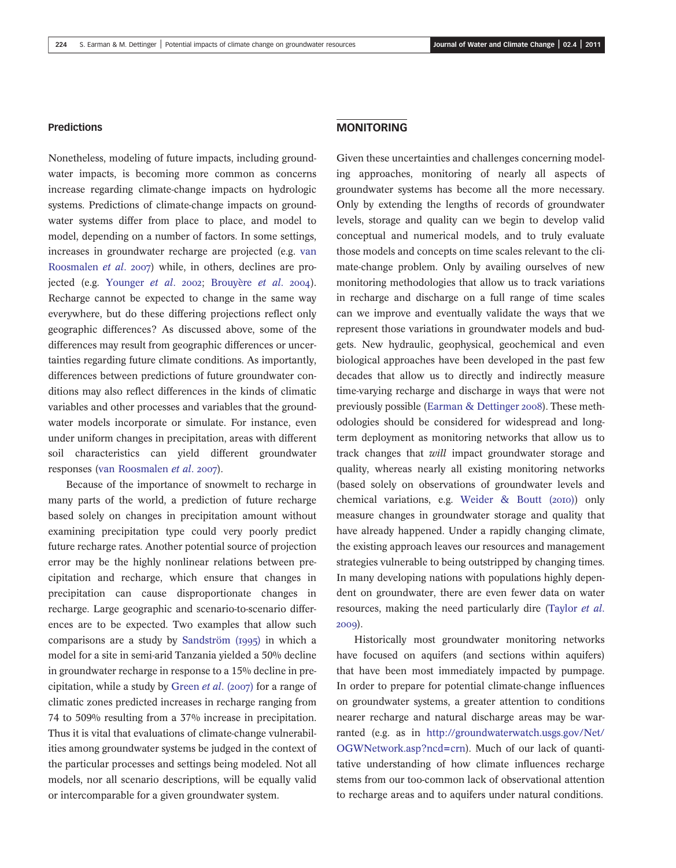#### Predictions

Nonetheless, modeling of future impacts, including groundwater impacts, is becoming more common as concerns increase regarding climate-change impacts on hydrologic systems. Predictions of climate-change impacts on groundwater systems differ from place to place, and model to model, depending on a number of factors. In some settings, increases in groundwater recharge are projected (e.g. van Roosmalen et al. 2007) while, in others, declines are projected (e.g. Younger et al. 2002; Brouyère et al. 2004). Recharge cannot be expected to change in the same way everywhere, but do these differing projections reflect only geographic differences? As discussed above, some of the differences may result from geographic differences or uncertainties regarding future climate conditions. As importantly, differences between predictions of future groundwater conditions may also reflect differences in the kinds of climatic variables and other processes and variables that the groundwater models incorporate or simulate. For instance, even under uniform changes in precipitation, areas with different soil characteristics can yield different groundwater responses (van Roosmalen et al. 2007).

Because of the importance of snowmelt to recharge in many parts of the world, a prediction of future recharge based solely on changes in precipitation amount without examining precipitation type could very poorly predict future recharge rates. Another potential source of projection error may be the highly nonlinear relations between precipitation and recharge, which ensure that changes in precipitation can cause disproportionate changes in recharge. Large geographic and scenario-to-scenario differences are to be expected. Two examples that allow such comparisons are a study by Sandström (1995) in which a model for a site in semi-arid Tanzania yielded a 50% decline in groundwater recharge in response to a 15% decline in precipitation, while a study by Green et al. (2007) for a range of climatic zones predicted increases in recharge ranging from 74 to 509% resulting from a 37% increase in precipitation. Thus it is vital that evaluations of climate-change vulnerabilities among groundwater systems be judged in the context of the particular processes and settings being modeled. Not all models, nor all scenario descriptions, will be equally valid or intercomparable for a given groundwater system.

## MONITORING

Given these uncertainties and challenges concerning modeling approaches, monitoring of nearly all aspects of groundwater systems has become all the more necessary. Only by extending the lengths of records of groundwater levels, storage and quality can we begin to develop valid conceptual and numerical models, and to truly evaluate those models and concepts on time scales relevant to the climate-change problem. Only by availing ourselves of new monitoring methodologies that allow us to track variations in recharge and discharge on a full range of time scales can we improve and eventually validate the ways that we represent those variations in groundwater models and budgets. New hydraulic, geophysical, geochemical and even biological approaches have been developed in the past few decades that allow us to directly and indirectly measure time-varying recharge and discharge in ways that were not previously possible (Earman & Dettinger 2008). These methodologies should be considered for widespread and longterm deployment as monitoring networks that allow us to track changes that will impact groundwater storage and quality, whereas nearly all existing monitoring networks (based solely on observations of groundwater levels and chemical variations, e.g. Weider  $\&$  Boutt (2010)) only measure changes in groundwater storage and quality that have already happened. Under a rapidly changing climate, the existing approach leaves our resources and management strategies vulnerable to being outstripped by changing times. In many developing nations with populations highly dependent on groundwater, there are even fewer data on water resources, making the need particularly dire (Taylor et al. 2009).

Historically most groundwater monitoring networks have focused on aquifers (and sections within aquifers) that have been most immediately impacted by pumpage. In order to prepare for potential climate-change influences on groundwater systems, a greater attention to conditions nearer recharge and natural discharge areas may be warranted (e.g. as in [http://groundwaterwatch.usgs.gov/Net/](http://groundwaterwatch.usgs.gov/Net/OGWNetwork.asp?ncd=crn) [OGWNetwork.asp?ncd=crn\)](http://groundwaterwatch.usgs.gov/Net/OGWNetwork.asp?ncd=crn). Much of our lack of quantitative understanding of how climate influences recharge stems from our too-common lack of observational attention to recharge areas and to aquifers under natural conditions.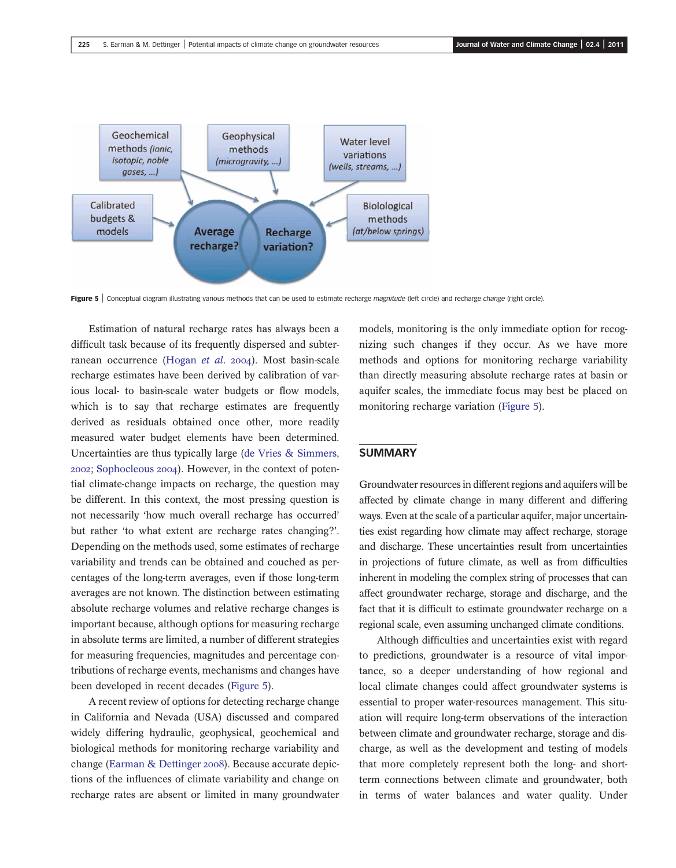

Figure 5 | Conceptual diagram illustrating various methods that can be used to estimate recharge *magnitude* (left circle) and recharge *change* (right circle).

Estimation of natural recharge rates has always been a difficult task because of its frequently dispersed and subterranean occurrence (Hogan et al. 2004). Most basin-scale recharge estimates have been derived by calibration of various local- to basin-scale water budgets or flow models, which is to say that recharge estimates are frequently derived as residuals obtained once other, more readily measured water budget elements have been determined. Uncertainties are thus typically large (de Vries & Simmers, 2002; Sophocleous 2004). However, in the context of potential climate-change impacts on recharge, the question may be different. In this context, the most pressing question is not necessarily 'how much overall recharge has occurred' but rather 'to what extent are recharge rates changing?'. Depending on the methods used, some estimates of recharge variability and trends can be obtained and couched as percentages of the long-term averages, even if those long-term averages are not known. The distinction between estimating absolute recharge volumes and relative recharge changes is important because, although options for measuring recharge in absolute terms are limited, a number of different strategies for measuring frequencies, magnitudes and percentage contributions of recharge events, mechanisms and changes have been developed in recent decades (Figure 5).

A recent review of options for detecting recharge change in California and Nevada (USA) discussed and compared widely differing hydraulic, geophysical, geochemical and biological methods for monitoring recharge variability and change (Earman & Dettinger 2008). Because accurate depictions of the influences of climate variability and change on recharge rates are absent or limited in many groundwater

models, monitoring is the only immediate option for recognizing such changes if they occur. As we have more methods and options for monitoring recharge variability than directly measuring absolute recharge rates at basin or aquifer scales, the immediate focus may best be placed on monitoring recharge variation (Figure 5).

### SUMMARY

Groundwater resources in different regions and aquifers will be affected by climate change in many different and differing ways. Even at the scale of a particular aquifer, major uncertainties exist regarding how climate may affect recharge, storage and discharge. These uncertainties result from uncertainties in projections of future climate, as well as from difficulties inherent in modeling the complex string of processes that can affect groundwater recharge, storage and discharge, and the fact that it is difficult to estimate groundwater recharge on a regional scale, even assuming unchanged climate conditions.

Although difficulties and uncertainties exist with regard to predictions, groundwater is a resource of vital importance, so a deeper understanding of how regional and local climate changes could affect groundwater systems is essential to proper water-resources management. This situation will require long-term observations of the interaction between climate and groundwater recharge, storage and discharge, as well as the development and testing of models that more completely represent both the long- and shortterm connections between climate and groundwater, both in terms of water balances and water quality. Under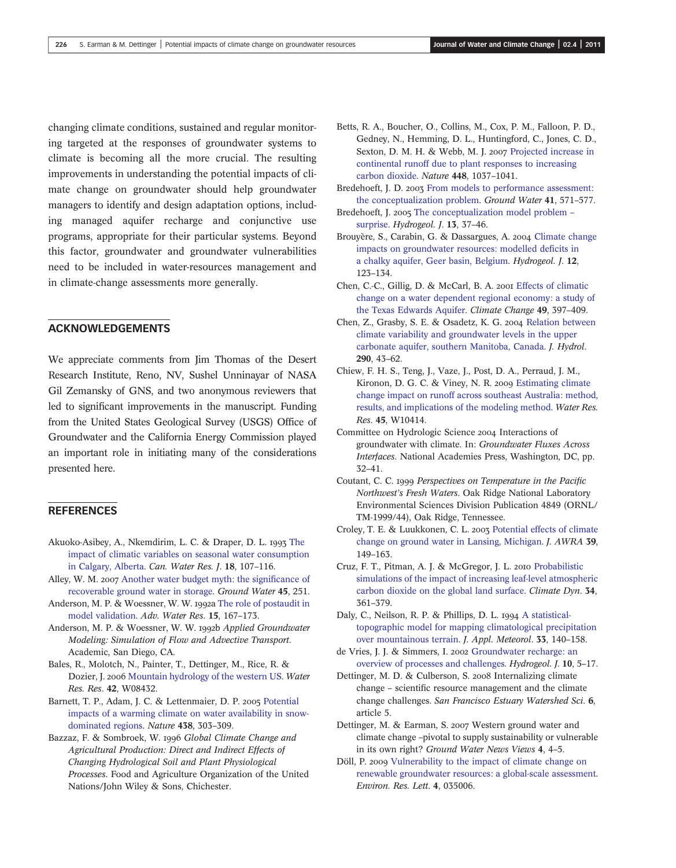changing climate conditions, sustained and regular monitoring targeted at the responses of groundwater systems to climate is becoming all the more crucial. The resulting improvements in understanding the potential impacts of climate change on groundwater should help groundwater managers to identify and design adaptation options, including managed aquifer recharge and conjunctive use programs, appropriate for their particular systems. Beyond this factor, groundwater and groundwater vulnerabilities need to be included in water-resources management and in climate-change assessments more generally.

## ACKNOWLEDGEMENTS

We appreciate comments from Jim Thomas of the Desert Research Institute, Reno, NV, Sushel Unninayar of NASA Gil Zemansky of GNS, and two anonymous reviewers that led to significant improvements in the manuscript. Funding from the United States Geological Survey (USGS) Office of Groundwater and the California Energy Commission played an important role in initiating many of the considerations presented here.

## **REFERENCES**

- Akuoko-Asibey, A., Nkemdirim, L. C. & Draper, D. L. 1993 [The](http://dx.doi.org/10.4296/cwrj1802107) [impact of climatic variables on seasonal water consumption](http://dx.doi.org/10.4296/cwrj1802107) [in Calgary, Alberta.](http://dx.doi.org/10.4296/cwrj1802107) Can. Water Res. J. 18, 107–116.
- Alley, W. M. 2007 [Another water budget myth: the signi](http://dx.doi.org/10.1111/j.1745-6584.2006.00274.x)ficance of [recoverable ground water in storage.](http://dx.doi.org/10.1111/j.1745-6584.2006.00274.x) Ground Water 45, 251.
- Anderson, M. P. & Woessner, W. W. 1992a [The role of postaudit in](http://dx.doi.org/10.1016/0309-1708(92)90021-S) [model validation](http://dx.doi.org/10.1016/0309-1708(92)90021-S). Adv. Water Res. 15, 167–173.
- Anderson, M. P. & Woessner, W. W. 1992b Applied Groundwater Modeling: Simulation of Flow and Advective Transport. Academic, San Diego, CA.
- Bales, R., Molotch, N., Painter, T., Dettinger, M., Rice, R. & Dozier, J. 2006 [Mountain hydrology of the western US.](http://dx.doi.org/10.1029/2005WR004387) Water Res. Res. 42, W08432.
- Barnett, T. P., Adam, J. C. & Lettenmaier, D. P. 2005 [Potential](http://dx.doi.org/10.1038/nature04141) [impacts of a warming climate on water availability in snow](http://dx.doi.org/10.1038/nature04141)[dominated regions.](http://dx.doi.org/10.1038/nature04141) Nature 438, 303–309.
- Bazzaz, F. & Sombroek, W. 1996 Global Climate Change and Agricultural Production: Direct and Indirect Effects of Changing Hydrological Soil and Plant Physiological Processes. Food and Agriculture Organization of the United Nations/John Wiley & Sons, Chichester.
- Betts, R. A., Boucher, O., Collins, M., Cox, P. M., Falloon, P. D., Gedney, N., Hemming, D. L., Huntingford, C., Jones, C. D., Sexton, D. M. H. & Webb, M. J. 2007 [Projected increase in](http://dx.doi.org/10.1038/nature06045) [continental runoff due to plant responses to increasing](http://dx.doi.org/10.1038/nature06045) [carbon dioxide.](http://dx.doi.org/10.1038/nature06045) Nature 448, 1037–1041.
- Bredehoeft, J. D. 2003 [From models to performance assessment:](http://dx.doi.org/10.1111/j.1745-6584.2003.tb02395.x) [the conceptualization problem](http://dx.doi.org/10.1111/j.1745-6584.2003.tb02395.x). Ground Water 41, 571–577.
- Bredehoeft, J. 2005 [The conceptualization model problem](http://dx.doi.org/10.1007/s10040-004-0430-5) [surprise.](http://dx.doi.org/10.1007/s10040-004-0430-5) Hydrogeol. J. 13, 37–46.
- Brouyère, S., Carabin, G. & Dassargues, A. 2004 [Climate change](http://dx.doi.org/10.1007/s10040-003-0293-1) [impacts on groundwater resources: modelled de](http://dx.doi.org/10.1007/s10040-003-0293-1)ficits in [a chalky aquifer, Geer basin, Belgium](http://dx.doi.org/10.1007/s10040-003-0293-1). Hydrogeol. J. 12, 123–134.
- Chen, C.-C., Gillig, D. & McCarl, B. A. 2001 [Effects of climatic](http://dx.doi.org/10.1023/A:1010617531401) [change on a water dependent regional economy: a study of](http://dx.doi.org/10.1023/A:1010617531401) [the Texas Edwards Aquifer.](http://dx.doi.org/10.1023/A:1010617531401) Climate Change 49, 397–409.
- Chen, Z., Grasby, S. E. & Osadetz, K. G. 2004 [Relation between](http://dx.doi.org/10.1016/j.jhydrol.2003.11.029) [climate variability and groundwater levels in the upper](http://dx.doi.org/10.1016/j.jhydrol.2003.11.029) [carbonate aquifer, southern Manitoba, Canada.](http://dx.doi.org/10.1016/j.jhydrol.2003.11.029) J. Hydrol. 290, 43–62.
- Chiew, F. H. S., Teng, J., Vaze, J., Post, D. A., Perraud, J. M., Kironon, D. G. C. & Viney, N. R. 2009 [Estimating climate](http://dx.doi.org/10.1029/2008WR007338) [change impact on runoff across southeast Australia: method,](http://dx.doi.org/10.1029/2008WR007338) [results, and implications of the modeling method.](http://dx.doi.org/10.1029/2008WR007338) Water Res. Res. 45, W10414.
- Committee on Hydrologic Science 2004 Interactions of groundwater with climate. In: Groundwater Fluxes Across Interfaces. National Academies Press, Washington, DC, pp. 32–41.
- Coutant, C. C. 1999 Perspectives on Temperature in the Pacific Northwest's Fresh Waters. Oak Ridge National Laboratory Environmental Sciences Division Publication 4849 (ORNL/ TM-1999/44), Oak Ridge, Tennessee.
- Croley, T. E. & Luukkonen, C. L. 2003 [Potential effects of climate](http://dx.doi.org/10.1111/j.1752-1688.2003.tb01568.x) [change on ground water in Lansing, Michigan](http://dx.doi.org/10.1111/j.1752-1688.2003.tb01568.x). J. AWRA 39, 149–163.
- Cruz, F. T., Pitman, A. J. & McGregor, J. L. 2010 [Probabilistic](http://dx.doi.org/10.1007/s00382-008-0497-0) [simulations of the impact of increasing leaf-level atmospheric](http://dx.doi.org/10.1007/s00382-008-0497-0) [carbon dioxide on the global land surface.](http://dx.doi.org/10.1007/s00382-008-0497-0) Climate Dyn. 34, 361–379.
- Daly, C., Neilson, R. P. & Phillips, D. L. 1994 [A statistical](http://dx.doi.org/10.1175/1520-0450(1994)033%3C0140:ASTMFM%3E2.0.CO;2)[topographic model for mapping climatological precipitation](http://dx.doi.org/10.1175/1520-0450(1994)033%3C0140:ASTMFM%3E2.0.CO;2) [over mountainous terrain.](http://dx.doi.org/10.1175/1520-0450(1994)033%3C0140:ASTMFM%3E2.0.CO;2) J. Appl. Meteorol. 33, 140–158.
- de Vries, J. J. & Simmers, I. 2002 [Groundwater recharge: an](http://dx.doi.org/10.1007/s10040-001-0171-7) [overview of processes and challenges](http://dx.doi.org/10.1007/s10040-001-0171-7). Hydrogeol. J. 10, 5–17.
- Dettinger, M. D. & Culberson, S. 2008 Internalizing climate change – scientific resource management and the climate change challenges. San Francisco Estuary Watershed Sci. 6, article 5.
- Dettinger, M. & Earman, S. 2007 Western ground water and climate change –pivotal to supply sustainability or vulnerable in its own right? Ground Water News Views 4, 4–5.
- Döll, P. 2009 [Vulnerability to the impact of climate change on](http://dx.doi.org/10.1088/1748-9326/4/3/035006) [renewable groundwater resources: a global-scale assessment](http://dx.doi.org/10.1088/1748-9326/4/3/035006). Environ. Res. Lett. 4, 035006.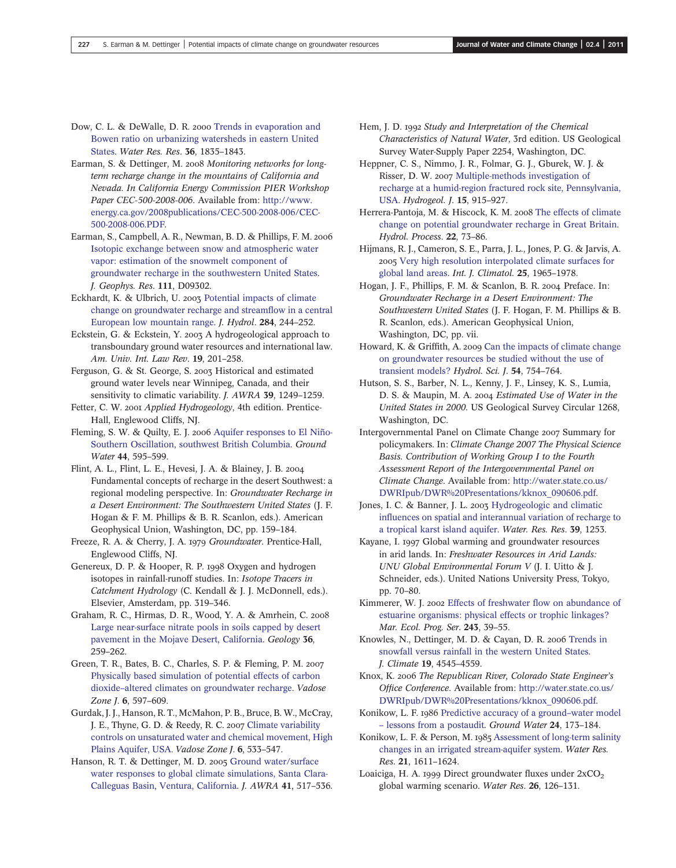- Dow, C. L. & DeWalle, D. R. 2000 [Trends in evaporation and](http://dx.doi.org/10.1029/2000WR900062) [Bowen ratio on urbanizing watersheds in eastern United](http://dx.doi.org/10.1029/2000WR900062) [States](http://dx.doi.org/10.1029/2000WR900062). Water Res. Res. 36, 1835–1843.
- Earman, S. & Dettinger, M. 2008 Monitoring networks for longterm recharge change in the mountains of California and Nevada. In California Energy Commission PIER Workshop Paper CEC-500-2008-006. Available from: [http://www.](http://www.energy.ca.gov/2008publications/CEC-500-2008-006/CEC-500-2008-006.PDF) [energy.ca.gov/2008publications/CEC-500-2008-006/CEC-](http://www.energy.ca.gov/2008publications/CEC-500-2008-006/CEC-500-2008-006.PDF)[500-2008-006.PDF](http://www.energy.ca.gov/2008publications/CEC-500-2008-006/CEC-500-2008-006.PDF).
- Earman, S., Campbell, A. R., Newman, B. D. & Phillips, F. M. [Isotopic exchange between snow and atmospheric water](http://dx.doi.org/10.1029/2005JD006470) [vapor: estimation of the snowmelt component of](http://dx.doi.org/10.1029/2005JD006470) [groundwater recharge in the southwestern United States](http://dx.doi.org/10.1029/2005JD006470). J. Geophys. Res. 111, D09302.
- Eckhardt, K. & Ulbrich, U. 2003 [Potential impacts of climate](http://dx.doi.org/10.1016/j.jhydrol.2003.08.005) [change on groundwater recharge and stream](http://dx.doi.org/10.1016/j.jhydrol.2003.08.005)flow in a central [European low mountain range.](http://dx.doi.org/10.1016/j.jhydrol.2003.08.005) J. Hydrol. 284, 244–252.
- Eckstein, G. & Eckstein, Y. 2003 A hydrogeological approach to transboundary ground water resources and international law. Am. Univ. Int. Law Rev. 19, 201–258.
- Ferguson, G. & St. George, S. 2003 Historical and estimated ground water levels near Winnipeg, Canada, and their sensitivity to climatic variability. J. AWRA 39, 1249–1259.
- Fetter, C. W. 2001 Applied Hydrogeology, 4th edition. Prentice-Hall, Englewood Cliffs, NJ.
- Fleming, S. W. & Quilty, E. J. 2006 [Aquifer responses to El Niño-](http://dx.doi.org/10.1111/j.1745-6584.2006.00187.x)[Southern Oscillation, southwest British Columbia.](http://dx.doi.org/10.1111/j.1745-6584.2006.00187.x) Ground Water 44, 595–599.
- Flint, A. L., Flint, L. E., Hevesi, J. A. & Blainey, J. B. Fundamental concepts of recharge in the desert Southwest: a regional modeling perspective. In: Groundwater Recharge in a Desert Environment: The Southwestern United States (J. F. Hogan & F. M. Phillips & B. R. Scanlon, eds.). American Geophysical Union, Washington, DC, pp. 159–184.
- Freeze, R. A. & Cherry, J. A. 1979 Groundwater. Prentice-Hall, Englewood Cliffs, NJ.
- Genereux, D. P. & Hooper, R. P. 1998 Oxygen and hydrogen isotopes in rainfall-runoff studies. In: Isotope Tracers in Catchment Hydrology (C. Kendall & J. J. McDonnell, eds.). Elsevier, Amsterdam, pp. 319–346.
- Graham, R. C., Hirmas, D. R., Wood, Y. A. & Amrhein, C. [Large near-surface nitrate pools in soils capped by desert](http://dx.doi.org/10.1130/G24343A.1) [pavement in the Mojave Desert, California.](http://dx.doi.org/10.1130/G24343A.1) Geology 36, 259–262.
- Green, T. R., Bates, B. C., Charles, S. P. & Fleming, P. M. [Physically based simulation of potential effects of carbon](http://dx.doi.org/10.2136/vzj2006.0099) dioxide–[altered climates on groundwater recharge](http://dx.doi.org/10.2136/vzj2006.0099). Vadose Zone J. 6, 597-609.
- Gurdak, J. J., Hanson, R. T., McMahon, P. B., Bruce, B. W., McCray, J. E., Thyne, G. D. & Reedy, R. C. 2007 [Climate variability](http://dx.doi.org/10.2136/vzj2006.0087) [controls on unsaturated water and chemical movement, High](http://dx.doi.org/10.2136/vzj2006.0087) [Plains Aquifer, USA](http://dx.doi.org/10.2136/vzj2006.0087). Vadose Zone J. 6, 533–547.
- Hanson, R. T. & Dettinger, M. D. 2005 [Ground water/surface](http://dx.doi.org/10.1111/j.1752-1688.2005.tb03752.x) [water responses to global climate simulations, Santa Clara-](http://dx.doi.org/10.1111/j.1752-1688.2005.tb03752.x)[Calleguas Basin, Ventura, California.](http://dx.doi.org/10.1111/j.1752-1688.2005.tb03752.x) J. AWRA 41, 517–536.
- Hem, J. D. 1992 Study and Interpretation of the Chemical Characteristics of Natural Water, 3rd edition. US Geological Survey Water-Supply Paper 2254, Washington, DC.
- Heppner, C. S., Nimmo, J. R., Folmar, G. J., Gburek, W. J. & Risser, D. W. 2007 [Multiple-methods investigation of](http://dx.doi.org/10.1007/s10040-006-0149-6) [recharge at a humid-region fractured rock site, Pennsylvania,](http://dx.doi.org/10.1007/s10040-006-0149-6) [USA](http://dx.doi.org/10.1007/s10040-006-0149-6). Hydrogeol. J. 15, 915–927.
- Herrera-Pantoja, M. & Hiscock, K. M. 2008 [The effects of climate](http://dx.doi.org/10.1002/hyp.6620) [change on potential groundwater recharge in Great Britain](http://dx.doi.org/10.1002/hyp.6620). Hydrol. Process. 22, 73–86.
- Hijmans, R. J., Cameron, S. E., Parra, J. L., Jones, P. G. & Jarvis, A. 2005 [Very high resolution interpolated climate surfaces for](http://dx.doi.org/10.1002/joc.1276) [global land areas.](http://dx.doi.org/10.1002/joc.1276) Int. J. Climatol. 25, 1965–1978.
- Hogan, J. F., Phillips, F. M. & Scanlon, B. R. 2004 Preface. In: Groundwater Recharge in a Desert Environment: The Southwestern United States (J. F. Hogan, F. M. Phillips & B. R. Scanlon, eds.). American Geophysical Union, Washington, DC, pp. vii.
- Howard, K. & Griffith, A. 2009 [Can the impacts of climate change](http://dx.doi.org/10.1623/hysj.54.4.754) [on groundwater resources be studied without the use of](http://dx.doi.org/10.1623/hysj.54.4.754) [transient models?](http://dx.doi.org/10.1623/hysj.54.4.754) Hydrol. Sci. J. 54, 754–764.
- Hutson, S. S., Barber, N. L., Kenny, J. F., Linsey, K. S., Lumia, D. S. & Maupin, M. A. 2004 Estimated Use of Water in the United States in 2000. US Geological Survey Circular 1268, Washington, DC.
- Intergovernmental Panel on Climate Change 2007 Summary for policymakers. In: Climate Change 2007 The Physical Science Basis. Contribution of Working Group I to the Fourth Assessment Report of the Intergovernmental Panel on Climate Change. Available from: [http://water.state.co.us/](http://water.state.co.us/DWRIpub/DWR%20Presentations/kknox_090606.pdf) [DWRIpub/DWR%20Presentations/kknox\\_090606.pdf](http://water.state.co.us/DWRIpub/DWR%20Presentations/kknox_090606.pdf).
- Jones, I. C. & Banner, J. L. 2003 [Hydrogeologic and climatic](http://dx.doi.org/10.1029/2002WR001543) infl[uences on spatial and interannual variation of recharge to](http://dx.doi.org/10.1029/2002WR001543) [a tropical karst island aquifer.](http://dx.doi.org/10.1029/2002WR001543) Water. Res. Res. 39, 1253.
- Kayane, I. 1997 Global warming and groundwater resources in arid lands. In: Freshwater Resources in Arid Lands: UNU Global Environmental Forum V (J. I. Uitto & J. Schneider, eds.). United Nations University Press, Tokyo, pp. 70–80.
- Kimmerer, W. J. 2002 Effects of freshwater fl[ow on abundance of](http://dx.doi.org/10.3354/meps243039) [estuarine organisms: physical effects or trophic linkages?](http://dx.doi.org/10.3354/meps243039) Mar. Ecol. Prog. Ser. 243, 39–55.
- Knowles, N., Dettinger, M. D. & Cayan, D. R. 2006 [Trends in](http://dx.doi.org/10.1175/JCLI3850.1) [snowfall versus rainfall in the western United States.](http://dx.doi.org/10.1175/JCLI3850.1) J. Climate 19, 4545–4559.
- Knox, K. 2006 The Republican River, Colorado State Engineer's Office Conference. Available from: [http://water.state.co.us/](http://water.state.co.us/DWRIpub/DWR%20Presentations/kknox_090606.pdf) [DWRIpub/DWR%20Presentations/kknox\\_090606.pdf](http://water.state.co.us/DWRIpub/DWR%20Presentations/kknox_090606.pdf).
- Konikow, L. F. 1986 [Predictive accuracy of a ground](http://dx.doi.org/10.1111/j.1745-6584.1986.tb00993.x)-water model – [lessons from a postaudit.](http://dx.doi.org/10.1111/j.1745-6584.1986.tb00993.x) Ground Water 24, 173–184.
- Konikow, L. F. & Person, M. 1985 [Assessment of long-term salinity](http://dx.doi.org/10.1029/WR021i011p01611) [changes in an irrigated stream-aquifer system](http://dx.doi.org/10.1029/WR021i011p01611). Water Res. Res. 21, 1611–1624.
- Loaiciga, H. A. 1999 Direct groundwater fluxes under  $2xCO<sub>2</sub>$ global warming scenario. Water Res. 26, 126–131.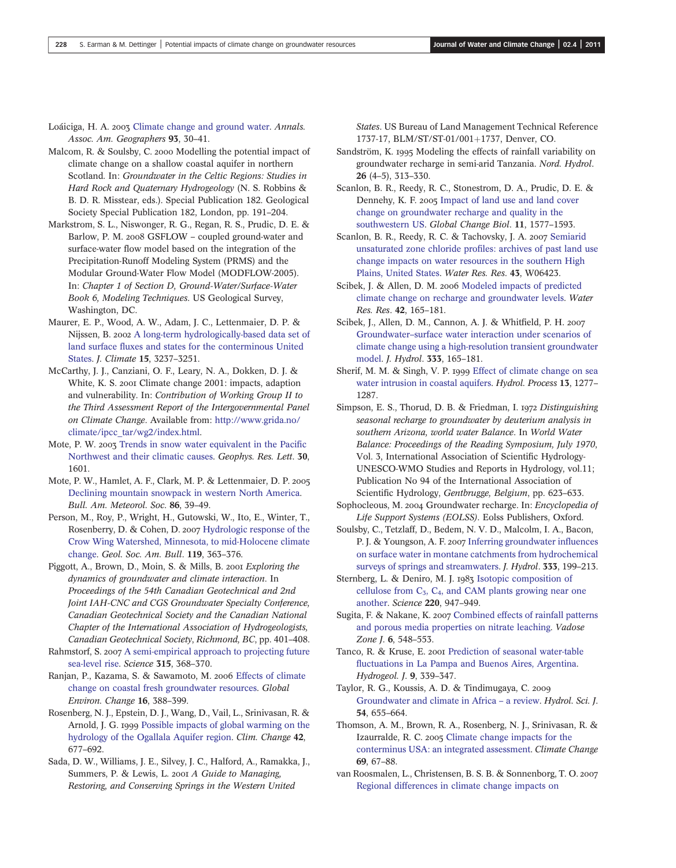- Loáiciga, H. A. 2003 [Climate change and ground water](http://dx.doi.org/10.1111/1467-8306.93103). Annals. Assoc. Am. Geographers 93, 30–41.
- Malcom, R. & Soulsby, C. 2000 Modelling the potential impact of climate change on a shallow coastal aquifer in northern Scotland. In: Groundwater in the Celtic Regions: Studies in Hard Rock and Quaternary Hydrogeology (N. S. Robbins & B. D. R. Misstear, eds.). Special Publication 182. Geological Society Special Publication 182, London, pp. 191–204.
- Markstrom, S. L., Niswonger, R. G., Regan, R. S., Prudic, D. E. & Barlow, P. M. 2008 GSFLOW – coupled ground-water and surface-water flow model based on the integration of the Precipitation-Runoff Modeling System (PRMS) and the Modular Ground-Water Flow Model (MODFLOW-2005). In: Chapter 1 of Section D, Ground-Water/Surface-Water Book 6, Modeling Techniques. US Geological Survey, Washington, DC.
- Maurer, E. P., Wood, A. W., Adam, J. C., Lettenmaier, D. P. & Nijssen, B. 2002 [A long-term hydrologically-based data set of](http://dx.doi.org/10.1175/1520-0442(2002)015%3C3237:ALTHBD%3E2.0.CO;2) land surface fl[uxes and states for the conterminous United](http://dx.doi.org/10.1175/1520-0442(2002)015%3C3237:ALTHBD%3E2.0.CO;2) [States.](http://dx.doi.org/10.1175/1520-0442(2002)015%3C3237:ALTHBD%3E2.0.CO;2) J. Climate 15, 3237–3251.
- McCarthy, J. J., Canziani, O. F., Leary, N. A., Dokken, D. J. & White, K. S. 2001 Climate change 2001: impacts, adaption and vulnerability. In: Contribution of Working Group II to the Third Assessment Report of the Intergovernmental Panel on Climate Change. Available from: [http://www.grida.no/](http://www.grida.no/climate/ipcc_tar/wg2/index.html) [climate/ipcc\\_tar/wg2/index.html](http://www.grida.no/climate/ipcc_tar/wg2/index.html).
- Mote, P. W. 2003 [Trends in snow water equivalent in the Paci](http://dx.doi.org/10.1029/2003GL017258)fic [Northwest and their climatic causes.](http://dx.doi.org/10.1029/2003GL017258) Geophys. Res. Lett. 30, 1601.
- Mote, P. W., Hamlet, A. F., Clark, M. P. & Lettenmaier, D. P. [Declining mountain snowpack in western North America](http://dx.doi.org/10.1175/BAMS-86-1-39). Bull. Am. Meteorol. Soc. 86, 39–49.
- Person, M., Roy, P., Wright, H., Gutowski, W., Ito, E., Winter, T., Rosenberry, D. & Cohen, D. 2007 [Hydrologic response of the](http://dx.doi.org/10.1130/B26003.1) [Crow Wing Watershed, Minnesota, to mid-Holocene climate](http://dx.doi.org/10.1130/B26003.1) [change](http://dx.doi.org/10.1130/B26003.1). Geol. Soc. Am. Bull. 119, 363–376.
- Piggott, A., Brown, D., Moin, S. & Mills, B. 2001 Exploring the dynamics of groundwater and climate interaction. In Proceedings of the 54th Canadian Geotechnical and 2nd Joint IAH-CNC and CGS Groundwater Specialty Conference, Canadian Geotechnical Society and the Canadian National Chapter of the International Association of Hydrogeologists, Canadian Geotechnical Society, Richmond, BC, pp. 401–408.
- Rahmstorf, S. 2007 [A semi-empirical approach to projecting future](http://dx.doi.org/10.1126/science.1135456) [sea-level rise](http://dx.doi.org/10.1126/science.1135456). Science 315, 368–370.
- Ranjan, P., Kazama, S. & Sawamoto, M. 2006 [Effects of climate](http://dx.doi.org/10.1016/j.gloenvcha.2006.03.006) [change on coastal fresh groundwater resources.](http://dx.doi.org/10.1016/j.gloenvcha.2006.03.006) Global Environ. Change 16, 388–399.
- Rosenberg, N. J., Epstein, D. J., Wang, D., Vail, L., Srinivasan, R. & Arnold, J. G. 1999 [Possible impacts of global warming on the](http://dx.doi.org/10.1023/A:1005424003553) [hydrology of the Ogallala Aquifer region.](http://dx.doi.org/10.1023/A:1005424003553) Clim. Change 42, 677–692.
- Sada, D. W., Williams, J. E., Silvey, J. C., Halford, A., Ramakka, J., Summers, P. & Lewis, L. 2001  $\Lambda$  Guide to Managing, Restoring, and Conserving Springs in the Western United

States. US Bureau of Land Management Technical Reference 1737-17, BLM/ST/ST-01/001+1737, Denver, CO.

- Sandström, K. 1995 Modeling the effects of rainfall variability on groundwater recharge in semi-arid Tanzania. Nord. Hydrol. 26 (4–5), 313–330.
- Scanlon, B. R., Reedy, R. C., Stonestrom, D. A., Prudic, D. E. & Dennehy, K. F. 2005 [Impact of land use and land cover](http://dx.doi.org/10.1111/j.1365-2486.2005.01026.x) [change on groundwater recharge and quality in the](http://dx.doi.org/10.1111/j.1365-2486.2005.01026.x) [southwestern US.](http://dx.doi.org/10.1111/j.1365-2486.2005.01026.x) Global Change Biol. 11, 1577–1593.
- Scanlon, B. R., Reedy, R. C. & Tachovsky, J. A. 2007 [Semiarid](http://dx.doi.org/10.1029/2006WR005569) [unsaturated zone chloride pro](http://dx.doi.org/10.1029/2006WR005569)files: archives of past land use [change impacts on water resources in the southern High](http://dx.doi.org/10.1029/2006WR005569) [Plains, United States](http://dx.doi.org/10.1029/2006WR005569). Water Res. Res. 43, W06423.
- Scibek, J. & Allen, D. M. 2006 [Modeled impacts of predicted](http://dx.doi.org/10.1029/2005WR004742) [climate change on recharge and groundwater levels.](http://dx.doi.org/10.1029/2005WR004742) Water Res. Res. 42, 165–181.
- Scibek, J., Allen, D. M., Cannon, A. J. & Whitfield, P. H. Groundwater–[surface water interaction under scenarios of](http://dx.doi.org/10.1016/j.jhydrol.2006.08.005) [climate change using a high-resolution transient groundwater](http://dx.doi.org/10.1016/j.jhydrol.2006.08.005) [model.](http://dx.doi.org/10.1016/j.jhydrol.2006.08.005) J. Hydrol. 333, 165–181.
- Sherif, M. M. & Singh, V. P. 1999 [Effect of climate change on sea](http://dx.doi.org/10.1002/(SICI)1099-1085(19990615)13:8%3C1277::AID-HYP765%3E3.0.CO;2-W) [water intrusion in coastal aquifers](http://dx.doi.org/10.1002/(SICI)1099-1085(19990615)13:8%3C1277::AID-HYP765%3E3.0.CO;2-W). Hydrol. Process 13, 1277– 1287.
- Simpson, E. S., Thorud, D. B. & Friedman, I. 1972 Distinguishing seasonal recharge to groundwater by deuterium analysis in southern Arizona, world water Balance. In World Water Balance: Proceedings of the Reading Symposium, July 1970, Vol. 3, International Association of Scientific Hydrology-UNESCO-WMO Studies and Reports in Hydrology, vol.11; Publication No 94 of the International Association of Scientific Hydrology, Gentbrugge, Belgium, pp. 623–633.
- Sophocleous, M. 2004 Groundwater recharge. In: Encyclopedia of Life Support Systems (EOLSS). Eolss Publishers, Oxford.
- Soulsby, C., Tetzlaff, D., Bedem, N. V. D., Malcolm, I. A., Bacon, P. J. & Youngson, A. F. 2007 [Inferring groundwater in](http://dx.doi.org/10.1016/j.jhydrol.2006.08.016)fluences [on surface water in montane catchments from hydrochemical](http://dx.doi.org/10.1016/j.jhydrol.2006.08.016) [surveys of springs and streamwaters.](http://dx.doi.org/10.1016/j.jhydrol.2006.08.016) J. Hydrol. 333, 199–213.
- Sternberg, L. & Deniro, M. J. 1983 [Isotopic composition of](http://dx.doi.org/10.1126/science.220.4600.947) cellulose from  $C_3$ ,  $C_4$ , and CAM plants growing near one [another](http://dx.doi.org/10.1126/science.220.4600.947). Science 220, 947–949.
- Sugita, F. & Nakane, K. 2007 [Combined effects of rainfall patterns](http://dx.doi.org/10.2136/vzj2006.0095) [and porous media properties on nitrate leaching.](http://dx.doi.org/10.2136/vzj2006.0095) Vadose Zone J. 6, 548-553.
- Tanco, R. & Kruse, E. 2001 [Prediction of seasonal water-table](http://dx.doi.org/10.1007/s100400100143) fl[uctuations in La Pampa and Buenos Aires, Argentina.](http://dx.doi.org/10.1007/s100400100143) Hydrogeol. J. 9, 339–347.
- Taylor, R. G., Koussis, A. D. & Tindimugaya, C. [Groundwater and climate in Africa](http://dx.doi.org/10.1623/hysj.54.4.655) – a review. Hydrol. Sci. J. 54, 655–664.
- Thomson, A. M., Brown, R. A., Rosenberg, N. J., Srinivasan, R. & Izaurralde, R. C. 2005 [Climate change impacts for the](http://dx.doi.org/10.1007/s10584-005-3610-y) [conterminus USA: an integrated assessment](http://dx.doi.org/10.1007/s10584-005-3610-y). Climate Change 69, 67–88.
- van Roosmalen, L., Christensen, B. S. B. & Sonnenborg, T. O. [Regional differences in climate change impacts on](http://dx.doi.org/10.2136/vzj2006.0093)